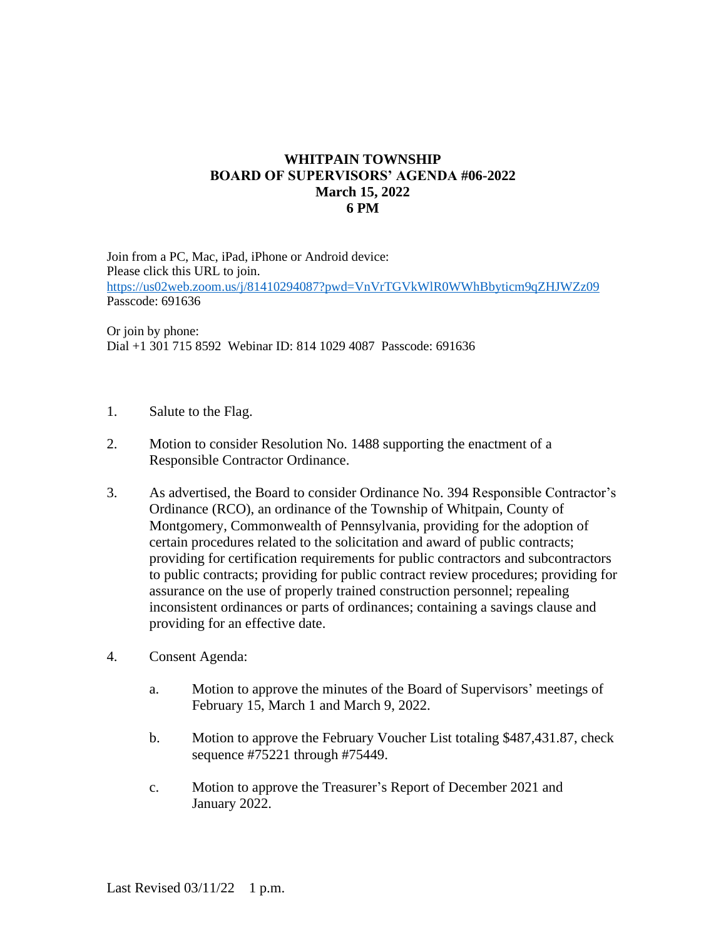## **WHITPAIN TOWNSHIP BOARD OF SUPERVISORS' AGENDA #06-2022 March 15, 2022 6 PM**

Join from a PC, Mac, iPad, iPhone or Android device: Please click this URL to join. <https://us02web.zoom.us/j/81410294087?pwd=VnVrTGVkWlR0WWhBbyticm9qZHJWZz09> Passcode: 691636

Or join by phone: Dial +1 301 715 8592 Webinar ID: 814 1029 4087 Passcode: 691636

- 1. Salute to the Flag.
- 2. Motion to consider Resolution No. 1488 supporting the enactment of a Responsible Contractor Ordinance.
- 3. As advertised, the Board to consider Ordinance No. 394 Responsible Contractor's Ordinance (RCO), an ordinance of the Township of Whitpain, County of Montgomery, Commonwealth of Pennsylvania, providing for the adoption of certain procedures related to the solicitation and award of public contracts; providing for certification requirements for public contractors and subcontractors to public contracts; providing for public contract review procedures; providing for assurance on the use of properly trained construction personnel; repealing inconsistent ordinances or parts of ordinances; containing a savings clause and providing for an effective date.
- 4. Consent Agenda:
	- a. Motion to approve the minutes of the Board of Supervisors' meetings of February 15, March 1 and March 9, 2022.
	- b. Motion to approve the February Voucher List totaling \$487,431.87, check sequence #75221 through #75449.
	- c. Motion to approve the Treasurer's Report of December 2021 and January 2022.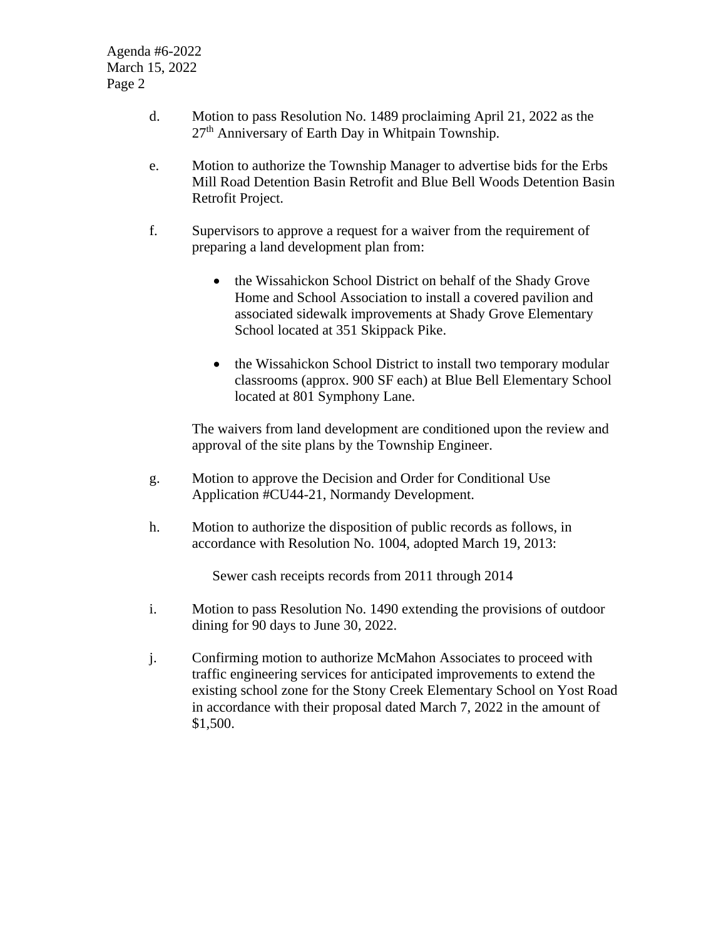Agenda #6-2022 March 15, 2022 Page 2

- d. Motion to pass Resolution No. 1489 proclaiming April 21, 2022 as the 27th Anniversary of Earth Day in Whitpain Township.
- e. Motion to authorize the Township Manager to advertise bids for the Erbs Mill Road Detention Basin Retrofit and Blue Bell Woods Detention Basin Retrofit Project.
- f. Supervisors to approve a request for a waiver from the requirement of preparing a land development plan from:
	- the Wissahickon School District on behalf of the Shady Grove Home and School Association to install a covered pavilion and associated sidewalk improvements at Shady Grove Elementary School located at 351 Skippack Pike.
	- the Wissahickon School District to install two temporary modular classrooms (approx. 900 SF each) at Blue Bell Elementary School located at 801 Symphony Lane.

The waivers from land development are conditioned upon the review and approval of the site plans by the Township Engineer.

- g. Motion to approve the Decision and Order for Conditional Use Application #CU44-21, Normandy Development.
- h. Motion to authorize the disposition of public records as follows, in accordance with Resolution No. 1004, adopted March 19, 2013:

Sewer cash receipts records from 2011 through 2014

- i. Motion to pass Resolution No. 1490 extending the provisions of outdoor dining for 90 days to June 30, 2022.
- j. Confirming motion to authorize McMahon Associates to proceed with traffic engineering services for anticipated improvements to extend the existing school zone for the Stony Creek Elementary School on Yost Road in accordance with their proposal dated March 7, 2022 in the amount of \$1,500.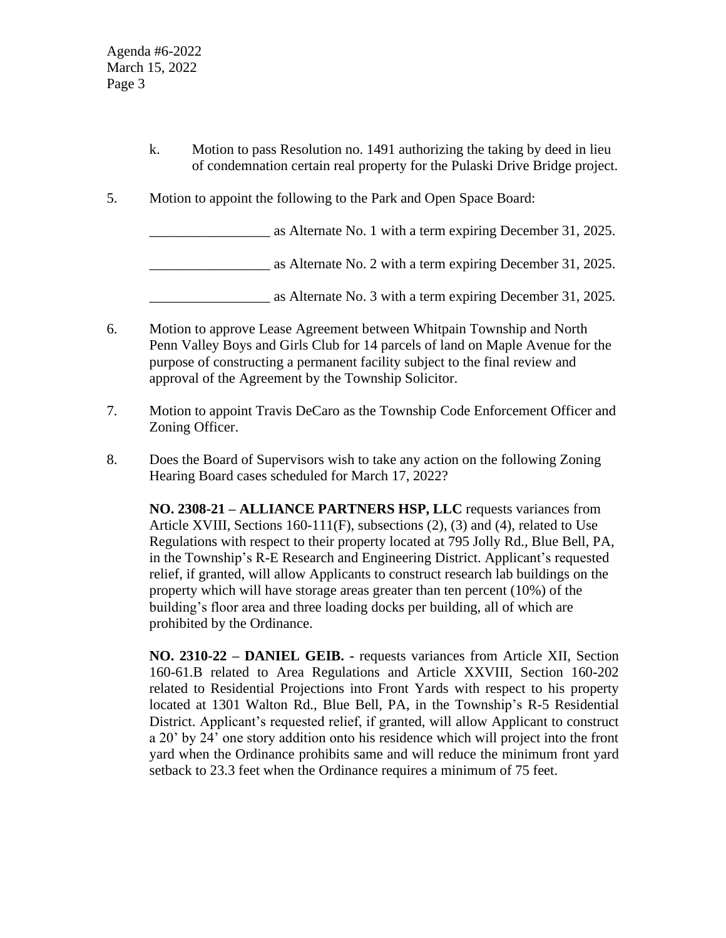- k. Motion to pass Resolution no. 1491 authorizing the taking by deed in lieu of condemnation certain real property for the Pulaski Drive Bridge project.
- 5. Motion to appoint the following to the Park and Open Space Board:

\_\_\_\_\_\_\_\_\_\_\_\_\_\_\_\_\_ as Alternate No. 1 with a term expiring December 31, 2025.

\_\_\_\_\_\_\_\_\_\_\_\_\_\_\_\_\_ as Alternate No. 2 with a term expiring December 31, 2025.

\_\_\_\_\_\_\_\_\_\_\_\_\_\_\_\_\_ as Alternate No. 3 with a term expiring December 31, 2025.

- 6. Motion to approve Lease Agreement between Whitpain Township and North Penn Valley Boys and Girls Club for 14 parcels of land on Maple Avenue for the purpose of constructing a permanent facility subject to the final review and approval of the Agreement by the Township Solicitor.
- 7. Motion to appoint Travis DeCaro as the Township Code Enforcement Officer and Zoning Officer.
- 8. Does the Board of Supervisors wish to take any action on the following Zoning Hearing Board cases scheduled for March 17, 2022?

**NO. 2308-21 – ALLIANCE PARTNERS HSP, LLC** requests variances from Article XVIII, Sections 160-111(F), subsections (2), (3) and (4), related to Use Regulations with respect to their property located at 795 Jolly Rd., Blue Bell, PA, in the Township's R-E Research and Engineering District. Applicant's requested relief, if granted, will allow Applicants to construct research lab buildings on the property which will have storage areas greater than ten percent (10%) of the building's floor area and three loading docks per building, all of which are prohibited by the Ordinance.

**NO. 2310-22 – DANIEL GEIB. -** requests variances from Article XII, Section 160-61.B related to Area Regulations and Article XXVIII, Section 160-202 related to Residential Projections into Front Yards with respect to his property located at 1301 Walton Rd., Blue Bell, PA, in the Township's R-5 Residential District. Applicant's requested relief, if granted, will allow Applicant to construct a 20' by 24' one story addition onto his residence which will project into the front yard when the Ordinance prohibits same and will reduce the minimum front yard setback to 23.3 feet when the Ordinance requires a minimum of 75 feet.